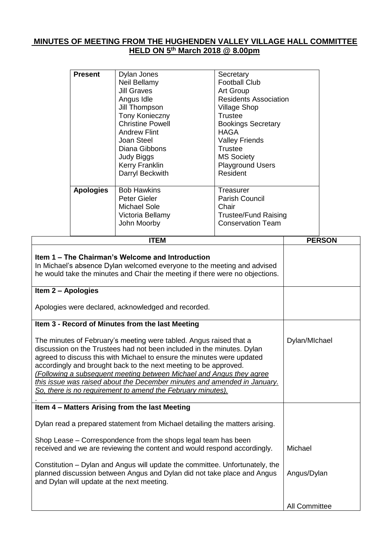## **MINUTES OF MEETING FROM THE HUGHENDEN VALLEY VILLAGE HALL COMMITTEE HELD ON 5 th March 2018 @ 8.00pm**

| <b>Present</b>                                                                                                                                                                                                                                                                                                                                                                                                                                                                                                |                  | Dylan Jones<br>Neil Bellamy<br><b>Jill Graves</b><br>Angus Idle<br>Jill Thompson<br>Tony Konieczny<br><b>Christine Powell</b><br><b>Andrew Flint</b><br>Joan Steel<br>Diana Gibbons<br>Judy Biggs<br>Kerry Franklin<br>Darryl Beckwith |               | Secretary<br><b>Football Club</b><br>Art Group<br><b>Residents Association</b><br><b>Village Shop</b><br><b>Trustee</b><br><b>Bookings Secretary</b><br><b>HAGA</b><br><b>Valley Friends</b><br><b>Trustee</b><br><b>MS Society</b><br><b>Playground Users</b><br>Resident |         |               |
|---------------------------------------------------------------------------------------------------------------------------------------------------------------------------------------------------------------------------------------------------------------------------------------------------------------------------------------------------------------------------------------------------------------------------------------------------------------------------------------------------------------|------------------|----------------------------------------------------------------------------------------------------------------------------------------------------------------------------------------------------------------------------------------|---------------|----------------------------------------------------------------------------------------------------------------------------------------------------------------------------------------------------------------------------------------------------------------------------|---------|---------------|
|                                                                                                                                                                                                                                                                                                                                                                                                                                                                                                               | <b>Apologies</b> | <b>Bob Hawkins</b><br>Peter Gieler<br><b>Michael Sole</b><br>Victoria Bellamy<br>John Moorby                                                                                                                                           |               | Treasurer<br>Parish Council<br>Chair<br><b>Trustee/Fund Raising</b><br><b>Conservation Team</b>                                                                                                                                                                            |         |               |
|                                                                                                                                                                                                                                                                                                                                                                                                                                                                                                               |                  | <b>ITEM</b>                                                                                                                                                                                                                            |               |                                                                                                                                                                                                                                                                            |         | <b>PERSON</b> |
| Item 1 – The Chairman's Welcome and Introduction<br>In Michael's absence Dylan welcomed everyone to the meeting and advised<br>he would take the minutes and Chair the meeting if there were no objections.<br>Item 2 – Apologies                                                                                                                                                                                                                                                                             |                  |                                                                                                                                                                                                                                        |               |                                                                                                                                                                                                                                                                            |         |               |
|                                                                                                                                                                                                                                                                                                                                                                                                                                                                                                               |                  | Apologies were declared, acknowledged and recorded.                                                                                                                                                                                    |               |                                                                                                                                                                                                                                                                            |         |               |
|                                                                                                                                                                                                                                                                                                                                                                                                                                                                                                               |                  | Item 3 - Record of Minutes from the last Meeting                                                                                                                                                                                       |               |                                                                                                                                                                                                                                                                            |         |               |
| The minutes of February's meeting were tabled. Angus raised that a<br>discussion on the Trustees had not been included in the minutes. Dylan<br>agreed to discuss this with Michael to ensure the minutes were updated<br>accordingly and brought back to the next meeting to be approved.<br>(Following a subsequent meeting between Michael and Angus they agree<br>this issue was raised about the December minutes and amended in January.<br>So, there is no requirement to amend the February minutes). |                  |                                                                                                                                                                                                                                        | Dylan/MIchael |                                                                                                                                                                                                                                                                            |         |               |
|                                                                                                                                                                                                                                                                                                                                                                                                                                                                                                               |                  | Item 4 - Matters Arising from the last Meeting                                                                                                                                                                                         |               |                                                                                                                                                                                                                                                                            |         |               |
| Dylan read a prepared statement from Michael detailing the matters arising.                                                                                                                                                                                                                                                                                                                                                                                                                                   |                  |                                                                                                                                                                                                                                        |               |                                                                                                                                                                                                                                                                            |         |               |
| Shop Lease – Correspondence from the shops legal team has been<br>received and we are reviewing the content and would respond accordingly.                                                                                                                                                                                                                                                                                                                                                                    |                  |                                                                                                                                                                                                                                        |               |                                                                                                                                                                                                                                                                            | Michael |               |

**Item** 

Constitution – Dylan and Angus will update the committee. Unfortunately, the planned discussion between Angus and Dylan did not take place and Angus and Dylan will update at the next meeting. Angus/Dylan

All Committee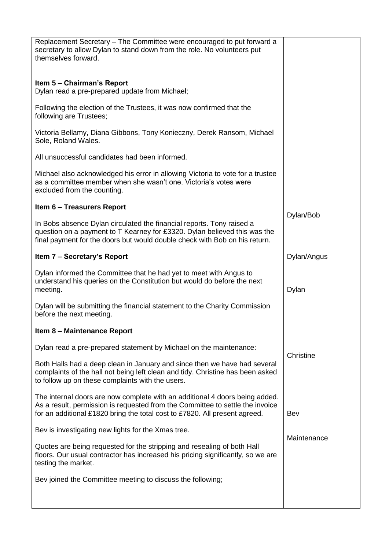| Replacement Secretary - The Committee were encouraged to put forward a<br>secretary to allow Dylan to stand down from the role. No volunteers put<br>themselves forward.<br>Item 5 – Chairman's Report<br>Dylan read a pre-prepared update from Michael;<br>Following the election of the Trustees, it was now confirmed that the<br>following are Trustees;<br>Victoria Bellamy, Diana Gibbons, Tony Konieczny, Derek Ransom, Michael<br>Sole, Roland Wales.<br>All unsuccessful candidates had been informed.<br>Michael also acknowledged his error in allowing Victoria to vote for a trustee<br>as a committee member when she wasn't one. Victoria's votes were<br>excluded from the counting.<br>Item 6 - Treasurers Report<br>Dylan/Bob<br>In Bobs absence Dylan circulated the financial reports. Tony raised a<br>question on a payment to T Kearney for £3320. Dylan believed this was the<br>final payment for the doors but would double check with Bob on his return.<br>Item 7 – Secretary's Report<br>Dylan/Angus<br>Dylan informed the Committee that he had yet to meet with Angus to<br>understand his queries on the Constitution but would do before the next<br>meeting.<br>Dylan<br>Dylan will be submitting the financial statement to the Charity Commission<br>before the next meeting.<br>Item 8 - Maintenance Report<br>Dylan read a pre-prepared statement by Michael on the maintenance:<br>Christine<br>Both Halls had a deep clean in January and since then we have had several<br>complaints of the hall not being left clean and tidy. Christine has been asked<br>to follow up on these complaints with the users.<br>The internal doors are now complete with an additional 4 doors being added.<br>As a result, permission is requested from the Committee to settle the invoice<br>for an additional £1820 bring the total cost to £7820. All present agreed.<br>Bev<br>Bev is investigating new lights for the Xmas tree.<br>Maintenance<br>Quotes are being requested for the stripping and resealing of both Hall<br>floors. Our usual contractor has increased his pricing significantly, so we are<br>testing the market.<br>Bev joined the Committee meeting to discuss the following; |  |  |  |
|-------------------------------------------------------------------------------------------------------------------------------------------------------------------------------------------------------------------------------------------------------------------------------------------------------------------------------------------------------------------------------------------------------------------------------------------------------------------------------------------------------------------------------------------------------------------------------------------------------------------------------------------------------------------------------------------------------------------------------------------------------------------------------------------------------------------------------------------------------------------------------------------------------------------------------------------------------------------------------------------------------------------------------------------------------------------------------------------------------------------------------------------------------------------------------------------------------------------------------------------------------------------------------------------------------------------------------------------------------------------------------------------------------------------------------------------------------------------------------------------------------------------------------------------------------------------------------------------------------------------------------------------------------------------------------------------------------------------------------------------------------------------------------------------------------------------------------------------------------------------------------------------------------------------------------------------------------------------------------------------------------------------------------------------------------------------------------------------------------------------------------------------------------------------------------------------------------------------------------------|--|--|--|
|                                                                                                                                                                                                                                                                                                                                                                                                                                                                                                                                                                                                                                                                                                                                                                                                                                                                                                                                                                                                                                                                                                                                                                                                                                                                                                                                                                                                                                                                                                                                                                                                                                                                                                                                                                                                                                                                                                                                                                                                                                                                                                                                                                                                                                     |  |  |  |
|                                                                                                                                                                                                                                                                                                                                                                                                                                                                                                                                                                                                                                                                                                                                                                                                                                                                                                                                                                                                                                                                                                                                                                                                                                                                                                                                                                                                                                                                                                                                                                                                                                                                                                                                                                                                                                                                                                                                                                                                                                                                                                                                                                                                                                     |  |  |  |
|                                                                                                                                                                                                                                                                                                                                                                                                                                                                                                                                                                                                                                                                                                                                                                                                                                                                                                                                                                                                                                                                                                                                                                                                                                                                                                                                                                                                                                                                                                                                                                                                                                                                                                                                                                                                                                                                                                                                                                                                                                                                                                                                                                                                                                     |  |  |  |
|                                                                                                                                                                                                                                                                                                                                                                                                                                                                                                                                                                                                                                                                                                                                                                                                                                                                                                                                                                                                                                                                                                                                                                                                                                                                                                                                                                                                                                                                                                                                                                                                                                                                                                                                                                                                                                                                                                                                                                                                                                                                                                                                                                                                                                     |  |  |  |
|                                                                                                                                                                                                                                                                                                                                                                                                                                                                                                                                                                                                                                                                                                                                                                                                                                                                                                                                                                                                                                                                                                                                                                                                                                                                                                                                                                                                                                                                                                                                                                                                                                                                                                                                                                                                                                                                                                                                                                                                                                                                                                                                                                                                                                     |  |  |  |
|                                                                                                                                                                                                                                                                                                                                                                                                                                                                                                                                                                                                                                                                                                                                                                                                                                                                                                                                                                                                                                                                                                                                                                                                                                                                                                                                                                                                                                                                                                                                                                                                                                                                                                                                                                                                                                                                                                                                                                                                                                                                                                                                                                                                                                     |  |  |  |
|                                                                                                                                                                                                                                                                                                                                                                                                                                                                                                                                                                                                                                                                                                                                                                                                                                                                                                                                                                                                                                                                                                                                                                                                                                                                                                                                                                                                                                                                                                                                                                                                                                                                                                                                                                                                                                                                                                                                                                                                                                                                                                                                                                                                                                     |  |  |  |
|                                                                                                                                                                                                                                                                                                                                                                                                                                                                                                                                                                                                                                                                                                                                                                                                                                                                                                                                                                                                                                                                                                                                                                                                                                                                                                                                                                                                                                                                                                                                                                                                                                                                                                                                                                                                                                                                                                                                                                                                                                                                                                                                                                                                                                     |  |  |  |
|                                                                                                                                                                                                                                                                                                                                                                                                                                                                                                                                                                                                                                                                                                                                                                                                                                                                                                                                                                                                                                                                                                                                                                                                                                                                                                                                                                                                                                                                                                                                                                                                                                                                                                                                                                                                                                                                                                                                                                                                                                                                                                                                                                                                                                     |  |  |  |
|                                                                                                                                                                                                                                                                                                                                                                                                                                                                                                                                                                                                                                                                                                                                                                                                                                                                                                                                                                                                                                                                                                                                                                                                                                                                                                                                                                                                                                                                                                                                                                                                                                                                                                                                                                                                                                                                                                                                                                                                                                                                                                                                                                                                                                     |  |  |  |
|                                                                                                                                                                                                                                                                                                                                                                                                                                                                                                                                                                                                                                                                                                                                                                                                                                                                                                                                                                                                                                                                                                                                                                                                                                                                                                                                                                                                                                                                                                                                                                                                                                                                                                                                                                                                                                                                                                                                                                                                                                                                                                                                                                                                                                     |  |  |  |
|                                                                                                                                                                                                                                                                                                                                                                                                                                                                                                                                                                                                                                                                                                                                                                                                                                                                                                                                                                                                                                                                                                                                                                                                                                                                                                                                                                                                                                                                                                                                                                                                                                                                                                                                                                                                                                                                                                                                                                                                                                                                                                                                                                                                                                     |  |  |  |
|                                                                                                                                                                                                                                                                                                                                                                                                                                                                                                                                                                                                                                                                                                                                                                                                                                                                                                                                                                                                                                                                                                                                                                                                                                                                                                                                                                                                                                                                                                                                                                                                                                                                                                                                                                                                                                                                                                                                                                                                                                                                                                                                                                                                                                     |  |  |  |
|                                                                                                                                                                                                                                                                                                                                                                                                                                                                                                                                                                                                                                                                                                                                                                                                                                                                                                                                                                                                                                                                                                                                                                                                                                                                                                                                                                                                                                                                                                                                                                                                                                                                                                                                                                                                                                                                                                                                                                                                                                                                                                                                                                                                                                     |  |  |  |
|                                                                                                                                                                                                                                                                                                                                                                                                                                                                                                                                                                                                                                                                                                                                                                                                                                                                                                                                                                                                                                                                                                                                                                                                                                                                                                                                                                                                                                                                                                                                                                                                                                                                                                                                                                                                                                                                                                                                                                                                                                                                                                                                                                                                                                     |  |  |  |
|                                                                                                                                                                                                                                                                                                                                                                                                                                                                                                                                                                                                                                                                                                                                                                                                                                                                                                                                                                                                                                                                                                                                                                                                                                                                                                                                                                                                                                                                                                                                                                                                                                                                                                                                                                                                                                                                                                                                                                                                                                                                                                                                                                                                                                     |  |  |  |
|                                                                                                                                                                                                                                                                                                                                                                                                                                                                                                                                                                                                                                                                                                                                                                                                                                                                                                                                                                                                                                                                                                                                                                                                                                                                                                                                                                                                                                                                                                                                                                                                                                                                                                                                                                                                                                                                                                                                                                                                                                                                                                                                                                                                                                     |  |  |  |
|                                                                                                                                                                                                                                                                                                                                                                                                                                                                                                                                                                                                                                                                                                                                                                                                                                                                                                                                                                                                                                                                                                                                                                                                                                                                                                                                                                                                                                                                                                                                                                                                                                                                                                                                                                                                                                                                                                                                                                                                                                                                                                                                                                                                                                     |  |  |  |
|                                                                                                                                                                                                                                                                                                                                                                                                                                                                                                                                                                                                                                                                                                                                                                                                                                                                                                                                                                                                                                                                                                                                                                                                                                                                                                                                                                                                                                                                                                                                                                                                                                                                                                                                                                                                                                                                                                                                                                                                                                                                                                                                                                                                                                     |  |  |  |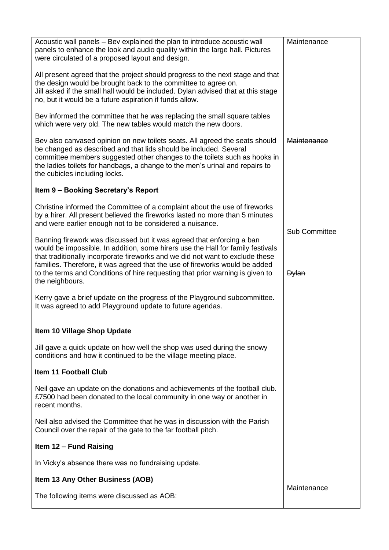| Acoustic wall panels - Bev explained the plan to introduce acoustic wall<br>panels to enhance the look and audio quality within the large hall. Pictures<br>were circulated of a proposed layout and design.                                                                                                                                                                                                                 | Maintenance          |  |
|------------------------------------------------------------------------------------------------------------------------------------------------------------------------------------------------------------------------------------------------------------------------------------------------------------------------------------------------------------------------------------------------------------------------------|----------------------|--|
| All present agreed that the project should progress to the next stage and that<br>the design would be brought back to the committee to agree on.<br>Jill asked if the small hall would be included. Dylan advised that at this stage<br>no, but it would be a future aspiration if funds allow.                                                                                                                              |                      |  |
| Bev informed the committee that he was replacing the small square tables<br>which were very old. The new tables would match the new doors.                                                                                                                                                                                                                                                                                   |                      |  |
| Bev also canvased opinion on new toilets seats. All agreed the seats should<br>be changed as described and that lids should be included. Several<br>committee members suggested other changes to the toilets such as hooks in<br>the ladies toilets for handbags, a change to the men's urinal and repairs to<br>the cubicles including locks.                                                                               | Maintenance          |  |
| Item 9 - Booking Secretary's Report                                                                                                                                                                                                                                                                                                                                                                                          |                      |  |
| Christine informed the Committee of a complaint about the use of fireworks<br>by a hirer. All present believed the fireworks lasted no more than 5 minutes<br>and were earlier enough not to be considered a nuisance.                                                                                                                                                                                                       | <b>Sub Committee</b> |  |
| Banning firework was discussed but it was agreed that enforcing a ban<br>would be impossible. In addition, some hirers use the Hall for family festivals<br>that traditionally incorporate fireworks and we did not want to exclude these<br>families. Therefore, it was agreed that the use of fireworks would be added<br>to the terms and Conditions of hire requesting that prior warning is given to<br>the neighbours. | <b>Dylan</b>         |  |
| Kerry gave a brief update on the progress of the Playground subcommittee.<br>It was agreed to add Playground update to future agendas.                                                                                                                                                                                                                                                                                       |                      |  |
| Item 10 Village Shop Update                                                                                                                                                                                                                                                                                                                                                                                                  |                      |  |
| Jill gave a quick update on how well the shop was used during the snowy<br>conditions and how it continued to be the village meeting place.                                                                                                                                                                                                                                                                                  |                      |  |
| <b>Item 11 Football Club</b>                                                                                                                                                                                                                                                                                                                                                                                                 |                      |  |
| Neil gave an update on the donations and achievements of the football club.<br>£7500 had been donated to the local community in one way or another in<br>recent months.                                                                                                                                                                                                                                                      |                      |  |
| Neil also advised the Committee that he was in discussion with the Parish<br>Council over the repair of the gate to the far football pitch.                                                                                                                                                                                                                                                                                  |                      |  |
| Item 12 - Fund Raising                                                                                                                                                                                                                                                                                                                                                                                                       |                      |  |
| In Vicky's absence there was no fundraising update.                                                                                                                                                                                                                                                                                                                                                                          |                      |  |
| Item 13 Any Other Business (AOB)                                                                                                                                                                                                                                                                                                                                                                                             | Maintenance          |  |
| The following items were discussed as AOB:                                                                                                                                                                                                                                                                                                                                                                                   |                      |  |